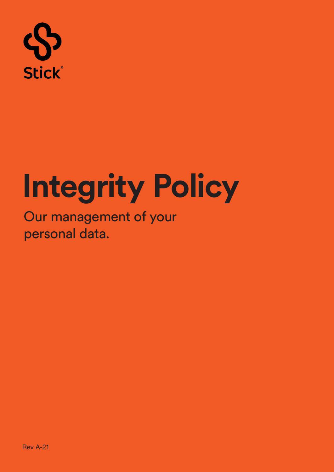

# **Integrity Policy**

Our management of your personal data.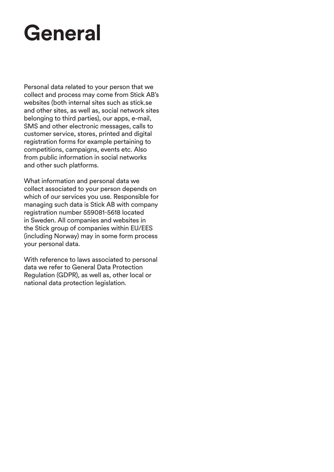### **General**

Personal data related to your person that we collect and process may come from Stick AB's websites (both internal sites such as stick.se and other sites, as well as, social network sites belonging to third parties), our apps, e-mail, SMS and other electronic messages, calls to customer service, stores, printed and digital registration forms for example pertaining to competitions, campaigns, events etc. Also from public information in social networks and other such platforms.

What information and personal data we collect associated to your person depends on which of our services you use. Responsible for managing such data is Stick AB with company registration number 559081-5618 located in Sweden. All companies and websites in the Stick group of companies within EU/EES (including Norway) may in some form process your personal data.

With reference to laws associated to personal data we refer to General Data Protection Regulation (GDPR), as well as, other local or national data protection legislation.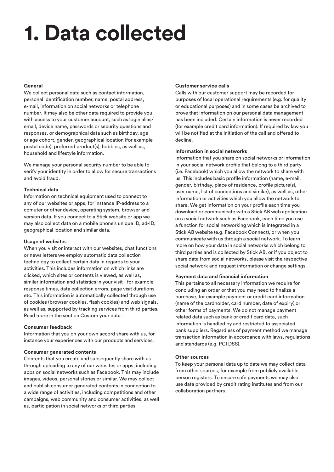### **1. Data collected**

### **General**

We collect personal data such as contact information, personal identification number, name, postal address, e-mail, information on social networks or telephone number. It may also be other data required to provide you with access to your customer account, such as login alias/ email, device name, passwords or security questions and responses, or demographical data such as birthday, age or age cohort, gender, geographical location (for example postal code), preferred product(s), hobbies, as well as, household and lifestyle information.

We manage your personal security number to be able to verify your identity in order to allow for secure transactions and avoid fraud.

### **Technical data**

Information on technical equipment used to connect to any of our websites or apps, for instance IP-address to a comuter or other device, operating system, browser and version data. If you connect to a Stick website or app we may also collect data on a mobile phone's unique ID, ad-ID, geographical location and similar data.

### **Usage of websites**

When you visit or interact with our websites, chat functions or news letters we employ automatic data collection technology to collect certain data in regards to your activities. This includes information on which links are clicked, which sites or contents is viewed, as well as, similar information and statistics in your visit - for example response times, data collection errors, page visit durations etc. This information is automatically collected through use of cookies (browser cookies, flash cookies) and web signals, as well as, supported by tracking services from third parties. Read more in the section Custom your data.

### **Consumer feedback**

Information that you on your own accord share with us, for instance your experiences with our products and services.

### **Consumer generated contents**

Contents that you create and subsequently share with us through uploading to any of our websites or apps, including apps on social networks such as Facebook. This may include images, videos, personal stories or similar. We may collect and publish consumer generated contents in connection to a wide range of activities, including competitions and other campaigns, web community and consumer activities, as well as, participation in social networks of third parties.

### **Customer service calls**

Calls with our customer support may be recorded for purposes of local operational requirements (e.g. for quality or educational purposes) and in some cases be archived to prove that information on our personal data management has been included. Certain information is never recorded (for example credit card information). If required by law you will be notified at the initiation of the call and offered to decline.

### **Information in social networks**

Information that you share on social networks or information in your social network profile that belong to a third party (i.e. Facebook) which you allow the network to share with us. This includes basic profile information (name, e-mail, gender, birthday, place of residence, profile picture(s), user name, list of connections and similar), as well as, other information or activities which you allow the network to share. We get information on your profile each time you download or communicate with a Stick AB web application on a social network such as Facebook, each time you use a function for social networking which is integrated in a Stick AB website (e.g. Facebook Connect), or when you communicate with us through a social network. To learn more on how your data in social networks which belong to third parties and is collected by Stick AB, or if you object to share data from social networks, please visit the respective social network and request information or change settings.

### **Payment data and financial information**

This pertains to all necessary information we require for concluding an order or that you may need to finalize a purchase, for example payment or credit card information (name of the cardholder, card number, date of expiry) or other forms of payments. We do not manage payment related data such as bank or credit card data, such information is handled by and restricted to associated bank suppliers. Regardless of payment method we manage transaction information in accordance with laws, regulations and standards (e.g. PCI DSS).

### **Other sources**

To keep your personal data up to date we may collect data from other sources, for example from publicly available person registers. To ensure safe payments we may also use data provided by credit rating institutes and from our collaboration partners.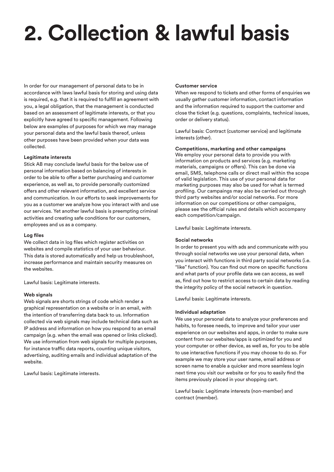# **2. Collection & lawful basis**

In order for our management of personal data to be in accordance with laws lawful basis for storing and using data is required, e.g. that it is required to fulfill an agreement with you, a legal obligation, that the management is conducted based on an assessment of legitimate interests, or that you explicitly have agreed to specific management. Following below are examples of purposes for which we may manage your personal data and the lawful basis thereof, unless other purposes have been provided when your data was collected.

### **Legitimate interests**

Stick AB may conclude lawful basis for the below use of personal information based on balancing of interests in order to be able to offer a better purchasing and customer experience, as well as, to provide personally customized offers and other relevant information, and excellent service and communication. In our efforts to seek improvements for you as a customer we analyze how you interact with and use our services. Yet another lawful basis is preempting criminal activities and creating safe conditions for our customers, employees and us as a company.

### **Log files**

We collect data in log files which register activities on websites and compile statistics of your user behaviour. This data is stored automatically and help us troubleshoot, increase performance and maintain security measures on the websites.

Lawful basis: Legitimate interests.

### **Web signals**

Web signals are shorts strings of code which render a graphical representation on a website or in an email, with the intention of transferring data back to us. Information collected via web signals may include technical data such as IP address and information on how you respond to an email campaign (e.g. when the email was opened or links clicked). We use information from web signals for multiple purposes, for instance traffic data reports, counting unique visitors, advertising, auditing emails and individual adaptation of the website.

Lawful basis: Legitimate interests.

### **Customer service**

When we respond to tickets and other forms of enquiries we usually gather customer information, contact information and the information required to support the customer and close the ticket (e.g. questions, complaints, technical issues, order or delivery status).

Lawful basis: Contract (customer service) and legitimate interests (other).

### **Competitions, marketing and other campaigns**

We employ your personal data to provide you with information on products and services (e.g. marketing materials, campaigns or offers). This can be done via email, SMS, telephone calls or direct mail within the scope of valid legislation. This use of your personal data for marketing purposes may also be used for what is termed profiling. Our campaings may also be carried out through third party websites and/or social networks. For more information on our competitions or other campaigns, please see the official rules and details which accompany each competition/campaign.

Lawful basis: Legitimate interests.

### **Social networks**

In order to present you with ads and communicate with you through social networks we use your personal data, when you interact with functions in third party social networks (i.e. "like" function). You can find out more on specific functions and what parts of your profile data we can access, as well as, find out how to restrict access to certain data by reading the integrity policy of the social network in question.

Lawful basis: Legitimate interests.

### **Individual adaptation**

We use your personal data to analyze your preferences and habits, to foresee needs, to improve and tailor your user experience on our websites and apps, in order to make sure content from our websites/apps is optimized for you and your computer or other device, as well as, for you to be able to use interactive functions if you may choose to do so. For example we may store your user name, email address or screen name to enable a quicker and more seamless login next time you visit our website or for you to easily find the items previously placed in your shopping cart.

Lawful basis: Legitimate interests (non-member) and contract (member).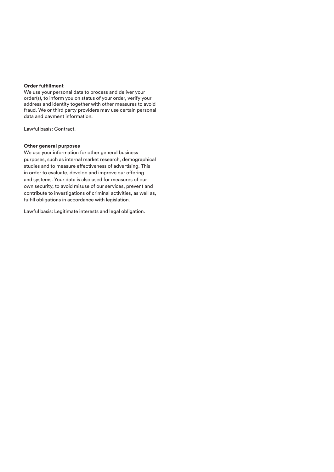### **Order fulfillment**

We use your personal data to process and deliver your order(s), to inform you on status of your order, verify your address and identity together with other measures to avoid fraud. We or third party providers may use certain personal data and payment information.

Lawful basis: Contract.

### **Other general purposes**

We use your information for other general business purposes, such as internal market research, demographical studies and to measure effectiveness of advertising. This in order to evaluate, develop and improve our offering and systems. Your data is also used for measures of our own security, to avoid misuse of our services, prevent and contribute to investigations of criminal activities, as well as, fulfill obligations in accordance with legislation.

Lawful basis: Legitimate interests and legal obligation.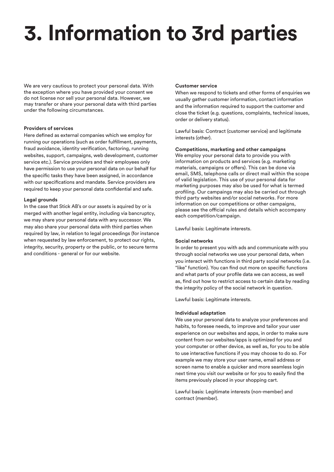# **3. Information to 3rd parties**

We are very cautious to protect your personal data. With the exception where you have provided your consent we do not license nor sell your personal data. However, we may transfer or share your personal data with third parties under the following circumstances.

### **Providers of services**

Here defined as external companies which we employ for running our operations (such as order fulfillment, payments, fraud avoidance, identity verification, factoring, running websites, support, campaigns, web development, customer service etc.). Service providers and their employees only have permission to use your personal data on our behalf for the specific tasks they have been assigned, in accordance with our specifications and mandate. Service providers are required to keep your personal data confidential and safe.

### **Legal grounds**

In the case that Stick AB's or our assets is aquired by or is merged with another legal entity, including via bancruptcy, we may share your personal data with any successor. We may also share your personal data with third parties when required by law, in relation to legal proceedings (for instance when requested by law enforcement, to protect our rights, integrity, security, property or the public, or to secure terms and conditions - general or for our website.

### **Customer service**

When we respond to tickets and other forms of enquiries we usually gather customer information, contact information and the information required to support the customer and close the ticket (e.g. questions, complaints, technical issues, order or delivery status).

Lawful basis: Contract (customer service) and legitimate interests (other).

### **Competitions, marketing and other campaigns**

We employ your personal data to provide you with information on products and services (e.g. marketing materials, campaigns or offers). This can be done via email, SMS, telephone calls or direct mail within the scope of valid legislation. This use of your personal data for marketing purposes may also be used for what is termed profiling. Our campaings may also be carried out through third party websites and/or social networks. For more information on our competitions or other campaigns, please see the official rules and details which accompany each competition/campaign.

Lawful basis: Legitimate interests.

### **Social networks**

In order to present you with ads and communicate with you through social networks we use your personal data, when you interact with functions in third party social networks (i.e. "like" function). You can find out more on specific functions and what parts of your profile data we can access, as well as, find out how to restrict access to certain data by reading the integrity policy of the social network in question.

Lawful basis: Legitimate interests.

### **Individual adaptation**

We use your personal data to analyze your preferences and habits, to foresee needs, to improve and tailor your user experience on our websites and apps, in order to make sure content from our websites/apps is optimized for you and your computer or other device, as well as, for you to be able to use interactive functions if you may choose to do so. For example we may store your user name, email address or screen name to enable a quicker and more seamless login next time you visit our website or for you to easily find the items previously placed in your shopping cart.

Lawful basis: Legitimate interests (non-member) and contract (member).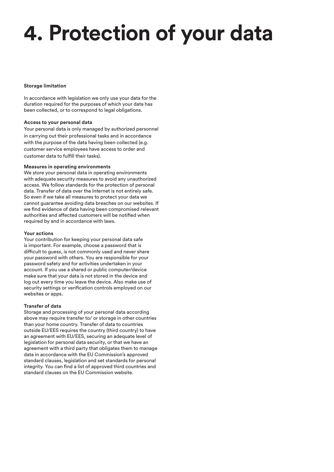# **4. Protection of your data**

### **Storage limitation**

In accordance with legislation we only use your data for the duration required for the purposes of which your data has been collected, or to correspond to legal obligations.

### **Access to your personal data**

Your personal data is only managed by authorized personnel in carrying out their professional tasks and in accordance with the purpose of the data having been collected (e.g. customer service employees have access to order and customer data to fulfill their tasks).

### **Measures in operating environments**

We store your personal data in operating environments with adequate security measures to avoid any unauthorized access. We follow standards for the protection of personal data. Transfer of data over the Internet is not entirely safe. So even if we take all measures to protect your data we cannot guarantee avoiding data breaches on our websites. If we find evidence of data having been compromised relevant authorities and affected customers will be notified when required by and in accordance with laws.

### **Your actions**

Your contribution for keeping your personal data safe is important. For example, choose a password that is difficult to guess, is not commonly used and never share your password with others. You are responsible for your password safety and for activities undertaken in your account. If you use a shared or public computer/device make sure that your data is not stored in the device and log out every time you leave the device. Also make use of security settings or verification controls employed on our websites or apps.

### **Transfer of data**

Storage and processing of your personal data according above may require transfer to/ or storage in other countries than your home country. Transfer of data to countries outside EU/EES requires the country (third country) to have an agreement with EU/EES, securing an adequate level of legislation for personal data security, or that we have an agreement with a third party that obligates them to manage data in accordance with the EU Commission's approved standard clauses, legislation and set standards for personal integrity. You can find a list of approved third countries and standard clauses on the EU Commission website.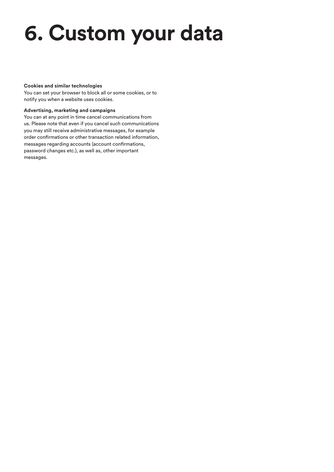### **6. Custom your data**

### **Cookies and similar technologies**

You can set your browser to block all or some cookies, or to notify you when a website uses cookies.

### **Advertising, marketing and campaigns**

You can at any point in time cancel communications from us. Please note that even if you cancel such communications you may still receive administrative messages, for example order confirmations or other transaction related information, messages regarding accounts (account confirmations, password changes etc.), as well as, other important messages.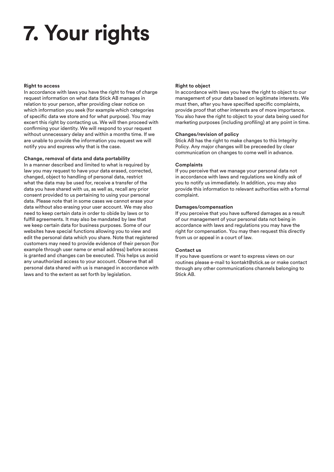## **7. Your rights**

### **Right to access**

In accordance with laws you have the right to free of charge request information on what data Stick AB manages in relation to your person, after providing clear notice on which information you seek (for example which categories of specific data we store and for what purpose). You may excert this right by contacting us. We will then proceed with confirming your identity. We will respond to your request without unnecessary delay and within a months time. If we are unable to provide the information you request we will notify you and express why that is the case.

### **Change, removal of data and data portability**

In a manner described and limited to what is required by law you may request to have your data erased, corrected, changed, object to handling of personal data, restrict what the data may be used for, receive a transfer of the data you have shared with us, as well as, recall any prior consent provided to us pertaining to using your personal data. Please note that in some cases we cannot erase your data without also erasing your user account. We may also need to keep certain data in order to obide by laws or to fulfill agreements. It may also be mandated by law that we keep certain data for business purposes. Some of our websites have special functions allowing you to view and edit the personal data which you share. Note that registered customers may need to provide evidence of their person (for example through user name or email address) before access is granted and changes can be executed. This helps us avoid any unauthorized access to your account. Observe that all personal data shared with us is managed in accordance with laws and to the extent as set forth by legislation.

### **Right to object**

In accordance with laws you have the right to object to our management of your data based on legitimate interests. We must then, after you have specified specific complaints, provide proof that other interests are of more importance. You also have the right to object to your data being used for marketing purposes (including profiling) at any point in time.

### **Changes/revision of policy**

Stick AB has the right to make changes to this Integrity Policy. Any major changes will be preceeded by clear communication on changes to come well in advance.

### **Complaints**

If you perceive that we manage your personal data not in accordance with laws and regulations we kindly ask of you to notify us immediately. In addition, you may also provide this information to relevant authorities with a formal complaint.

### **Damages/compensation**

If you perceive that you have suffered damages as a result of our management of your personal data not being in accordance with laws and regulations you may have the right for compensation. You may then request this directly from us or appeal in a court of law.

### **Contact us**

If you have questions or want to express views on our routines please e-mail to kontakt@stick.se or make contact through any other communications channels belonging to Stick AB.